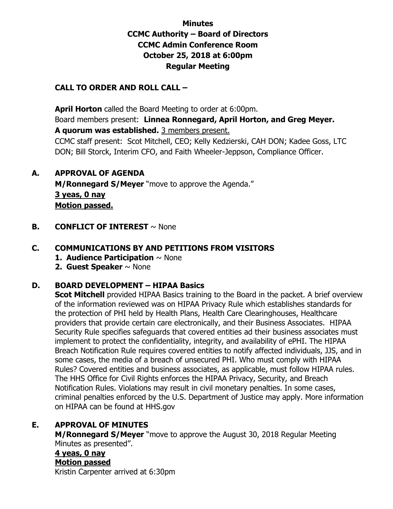## **Minutes CCMC Authority – Board of Directors CCMC Admin Conference Room October 25, 2018 at 6:00pm Regular Meeting**

### **CALL TO ORDER AND ROLL CALL –**

 **April Horton** called the Board Meeting to order at 6:00pm. Board members present: **Linnea Ronnegard, April Horton, and Greg Meyer. A quorum was established.** 3 members present.

CCMC staff present: Scot Mitchell, CEO; Kelly Kedzierski, CAH DON; Kadee Goss, LTC DON; Bill Storck, Interim CFO, and Faith Wheeler-Jeppson, Compliance Officer.

### **A. APPROVAL OF AGENDA**

**M/Ronnegard S/Meyer** "move to approve the Agenda." **3 yeas, 0 nay Motion passed.** 

**B. CONFLICT OF INTEREST**  $\sim$  None

### **C. COMMUNICATIONS BY AND PETITIONS FROM VISITORS**

- **1. Audience Participation** ~ None
- **2. Guest Speaker** ~ None

### **D. BOARD DEVELOPMENT – HIPAA Basics**

**Scot Mitchell** provided HIPAA Basics training to the Board in the packet. A brief overview of the information reviewed was on HIPAA Privacy Rule which establishes standards for the protection of PHI held by Health Plans, Health Care Clearinghouses, Healthcare providers that provide certain care electronically, and their Business Associates. HIPAA Security Rule specifies safeguards that covered entities ad their business associates must implement to protect the confidentiality, integrity, and availability of ePHI. The HIPAA Breach Notification Rule requires covered entities to notify affected individuals, JJS, and in some cases, the media of a breach of unsecured PHI. Who must comply with HIPAA Rules? Covered entities and business associates, as applicable, must follow HIPAA rules. The HHS Office for Civil Rights enforces the HIPAA Privacy, Security, and Breach Notification Rules. Violations may result in civil monetary penalties. In some cases, criminal penalties enforced by the U.S. Department of Justice may apply. More information on HIPAA can be found at HHS.gov

### **E. APPROVAL OF MINUTES**

**M/Ronnegard S/Meyer** "move to approve the August 30, 2018 Regular Meeting Minutes as presented".

# **4 yeas, 0 nay**

### **Motion passed**

Kristin Carpenter arrived at 6:30pm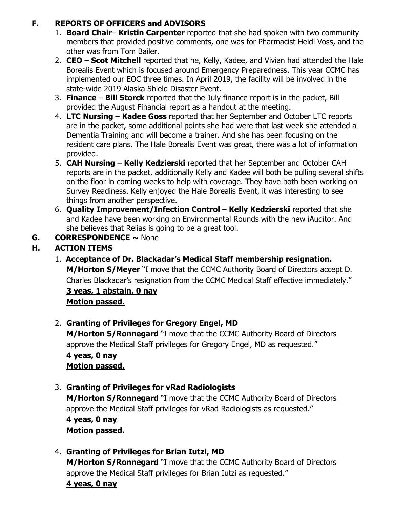## **F. REPORTS OF OFFICERS and ADVISORS**

- 1. **Board Chair Kristin Carpenter** reported that she had spoken with two community members that provided positive comments, one was for Pharmacist Heidi Voss, and the other was from Tom Bailer.
- 2. **CEO Scot Mitchell** reported that he, Kelly, Kadee, and Vivian had attended the Hale Borealis Event which is focused around Emergency Preparedness. This year CCMC has implemented our EOC three times. In April 2019, the facility will be involved in the state-wide 2019 Alaska Shield Disaster Event.
- 3. **Finance Bill Storck** reported that the July finance report is in the packet, Bill provided the August Financial report as a handout at the meeting.
- 4. **LTC Nursing Kadee Goss** reported that her September and October LTC reports are in the packet, some additional points she had were that last week she attended a Dementia Training and will become a trainer. And she has been focusing on the resident care plans. The Hale Borealis Event was great, there was a lot of information provided.
- 5. **CAH Nursing Kelly Kedzierski** reported that her September and October CAH reports are in the packet, additionally Kelly and Kadee will both be pulling several shifts on the floor in coming weeks to help with coverage. They have both been working on Survey Readiness. Kelly enjoyed the Hale Borealis Event, it was interesting to see things from another perspective.
- 6. **Quality Improvement/Infection Control Kelly Kedzierski** reported that she and Kadee have been working on Environmental Rounds with the new iAuditor. And she believes that Relias is going to be a great tool.
- **G. CORRESPONDENCE ~** None

# **H. ACTION ITEMS**

1. **Acceptance of Dr. Blackadar's Medical Staff membership resignation. M/Horton S/Meyer** "I move that the CCMC Authority Board of Directors accept D. Charles Blackadar's resignation from the CCMC Medical Staff effective immediately."

### **3 yeas, 1 abstain, 0 nay Motion passed.**

# 2. **Granting of Privileges for Gregory Engel, MD**

**M/Horton S/Ronnegard** "I move that the CCMC Authority Board of Directors approve the Medical Staff privileges for Gregory Engel, MD as requested." **4 yeas, 0 nay Motion passed.** 

# 3. **Granting of Privileges for vRad Radiologists M/Horton S/Ronnegard** "I move that the CCMC Authority Board of Directors approve the Medical Staff privileges for vRad Radiologists as requested." **4 yeas, 0 nay Motion passed.**

# 4. **Granting of Privileges for Brian Iutzi, MD**

**M/Horton S/Ronnegard** "I move that the CCMC Authority Board of Directors approve the Medical Staff privileges for Brian Iutzi as requested."

## **4 yeas, 0 nay**